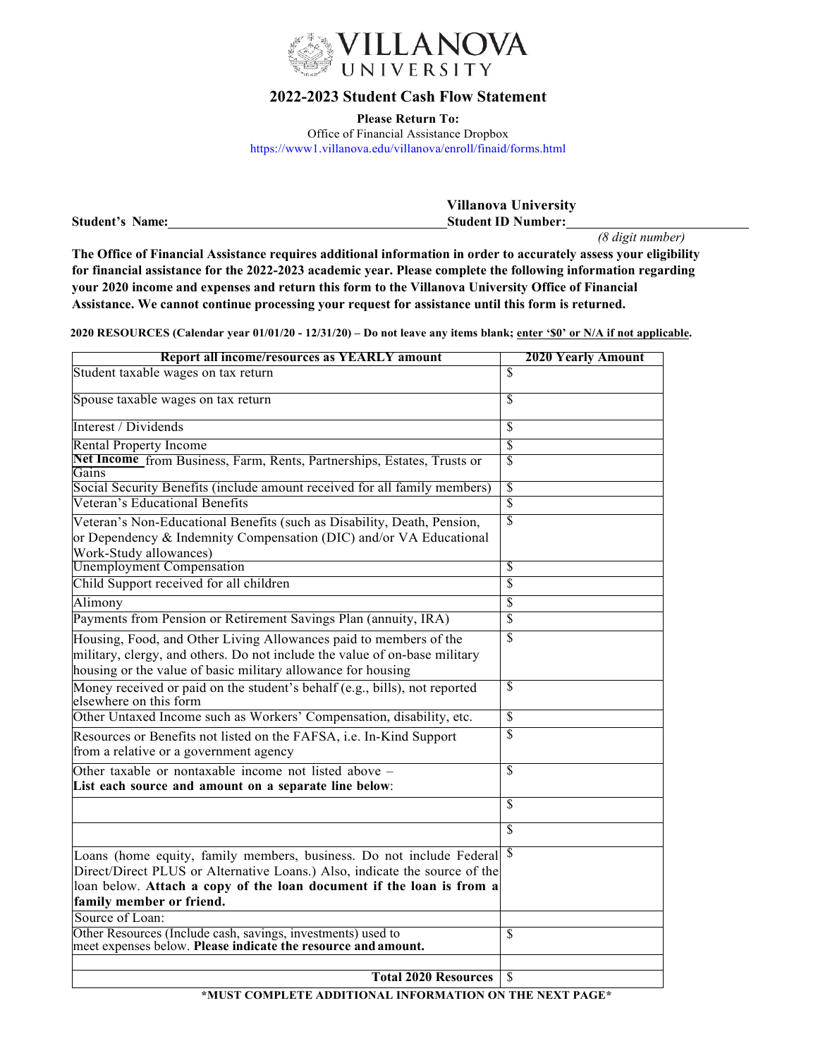

## **2022-2023 Student Cash Flow Statement**

**Please Return To:** Office of Financial Assistance Dropbox https://www1.villanova.edu/villanova/enroll/finaid/forms.html

|                        | <b>Villanova University</b> |
|------------------------|-----------------------------|
| <b>Student's Name:</b> | <b>Student ID Number:</b>   |

*(8 digit number)* 

**The Office of Financial Assistance requires additional information in order to accurately assess your eligibility for financial assistance for the 2022-2023 academic year. Please complete the following information regarding your 2020 income and expenses and return this form to the Villanova University Office of Financial Assistance. We cannot continue processing your request for assistance until this form is returned.**

**2020 RESOURCES (Calendar year 01/01/20 - 12/31/20) – Do not leave any items blank; enter '\$0' or N/A if not applicable.**

| Report all income/resources as YEARLY amount                                                                  | <b>2020 Yearly Amount</b> |
|---------------------------------------------------------------------------------------------------------------|---------------------------|
| Student taxable wages on tax return                                                                           | \$                        |
| Spouse taxable wages on tax return                                                                            | \$                        |
| Interest / Dividends                                                                                          | \$                        |
| <b>Rental Property Income</b>                                                                                 | $\overline{\mathcal{S}}$  |
| Net Income from Business, Farm, Rents, Partnerships, Estates, Trusts or<br>Gains                              | $\overline{\mathbb{S}}$   |
| Social Security Benefits (include amount received for all family members)                                     | S                         |
| Veteran's Educational Benefits                                                                                | $\overline{\mathbb{S}}$   |
| Veteran's Non-Educational Benefits (such as Disability, Death, Pension,                                       | \$                        |
| or Dependency & Indemnity Compensation (DIC) and/or VA Educational<br>Work-Study allowances)                  |                           |
| <b>Unemployment Compensation</b>                                                                              | S                         |
| Child Support received for all children                                                                       | \$                        |
| Alimony                                                                                                       | \$                        |
| Payments from Pension or Retirement Savings Plan (annuity, IRA)                                               | $\overline{\mathbb{S}}$   |
| Housing, Food, and Other Living Allowances paid to members of the                                             | \$                        |
| military, clergy, and others. Do not include the value of on-base military                                    |                           |
| housing or the value of basic military allowance for housing                                                  |                           |
|                                                                                                               | $\overline{\mathcal{S}}$  |
| Money received or paid on the student's behalf (e.g., bills), not reported<br>elsewhere on this form          |                           |
| Other Untaxed Income such as Workers' Compensation, disability, etc.                                          | $\overline{\mathcal{S}}$  |
| Resources or Benefits not listed on the FAFSA, i.e. In-Kind Support<br>from a relative or a government agency | \$                        |
| Other taxable or nontaxable income not listed above -                                                         | \$                        |
| List each source and amount on a separate line below:                                                         |                           |
|                                                                                                               | \$                        |
|                                                                                                               | $\mathbf{\hat{S}}$        |
| Loans (home equity, family members, business. Do not include Federal §                                        |                           |
| Direct/Direct PLUS or Alternative Loans.) Also, indicate the source of the                                    |                           |
| loan below. Attach a copy of the loan document if the loan is from a                                          |                           |
| family member or friend.                                                                                      |                           |
| Source of Loan:                                                                                               |                           |
| Other Resources (Include cash, savings, investments) used to                                                  | \$                        |
| meet expenses below. Please indicate the resource and amount.                                                 |                           |
|                                                                                                               |                           |
| <b>Total 2020 Resources</b><br>******* <i>*</i> ******                                                        | \$                        |

**\*MUST COMPLETE ADDITIONAL INFORMATION ON THE NEXT PAGE\***